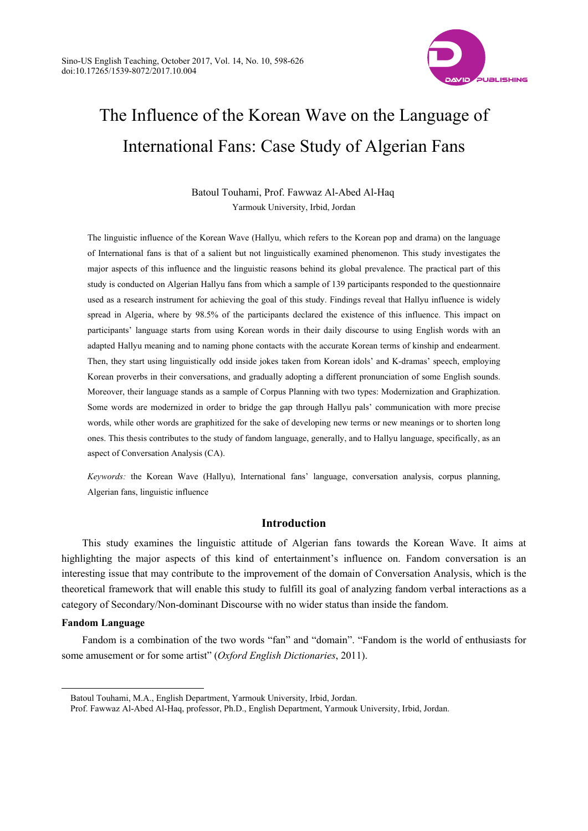

# The Influence of the Korean Wave on the Language of International Fans: Case Study of Algerian Fans

Batoul Touhami, Prof. Fawwaz Al-Abed Al-Haq Yarmouk University, Irbid, Jordan

The linguistic influence of the Korean Wave (Hallyu, which refers to the Korean pop and drama) on the language of International fans is that of a salient but not linguistically examined phenomenon. This study investigates the major aspects of this influence and the linguistic reasons behind its global prevalence. The practical part of this study is conducted on Algerian Hallyu fans from which a sample of 139 participants responded to the questionnaire used as a research instrument for achieving the goal of this study. Findings reveal that Hallyu influence is widely spread in Algeria, where by 98.5% of the participants declared the existence of this influence. This impact on participants' language starts from using Korean words in their daily discourse to using English words with an adapted Hallyu meaning and to naming phone contacts with the accurate Korean terms of kinship and endearment. Then, they start using linguistically odd inside jokes taken from Korean idols' and K-dramas' speech, employing Korean proverbs in their conversations, and gradually adopting a different pronunciation of some English sounds. Moreover, their language stands as a sample of Corpus Planning with two types: Modernization and Graphization. Some words are modernized in order to bridge the gap through Hallyu pals' communication with more precise words, while other words are graphitized for the sake of developing new terms or new meanings or to shorten long ones. This thesis contributes to the study of fandom language, generally, and to Hallyu language, specifically, as an aspect of Conversation Analysis (CA).

*Keywords:* the Korean Wave (Hallyu), International fans' language, conversation analysis, corpus planning, Algerian fans, linguistic influence

# **Introduction**

This study examines the linguistic attitude of Algerian fans towards the Korean Wave. It aims at highlighting the major aspects of this kind of entertainment's influence on. Fandom conversation is an interesting issue that may contribute to the improvement of the domain of Conversation Analysis, which is the theoretical framework that will enable this study to fulfill its goal of analyzing fandom verbal interactions as a category of Secondary/Non-dominant Discourse with no wider status than inside the fandom.

# **Fandom Language**

 $\overline{a}$ 

Fandom is a combination of the two words "fan" and "domain". "Fandom is the world of enthusiasts for some amusement or for some artist" (*Oxford English Dictionaries*, 2011).

Batoul Touhami, M.A., English Department, Yarmouk University, Irbid, Jordan.

Prof. Fawwaz Al-Abed Al-Haq, professor, Ph.D., English Department, Yarmouk University, Irbid, Jordan.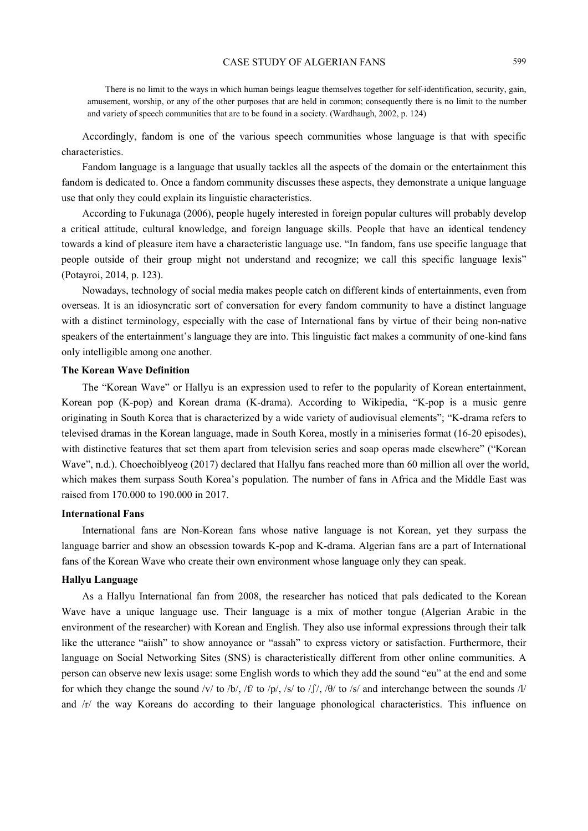There is no limit to the ways in which human beings league themselves together for self-identification, security, gain, amusement, worship, or any of the other purposes that are held in common; consequently there is no limit to the number and variety of speech communities that are to be found in a society. (Wardhaugh, 2002, p. 124)

Accordingly, fandom is one of the various speech communities whose language is that with specific characteristics.

Fandom language is a language that usually tackles all the aspects of the domain or the entertainment this fandom is dedicated to. Once a fandom community discusses these aspects, they demonstrate a unique language use that only they could explain its linguistic characteristics.

According to Fukunaga (2006), people hugely interested in foreign popular cultures will probably develop a critical attitude, cultural knowledge, and foreign language skills. People that have an identical tendency towards a kind of pleasure item have a characteristic language use. "In fandom, fans use specific language that people outside of their group might not understand and recognize; we call this specific language lexis" (Potayroi, 2014, p. 123).

Nowadays, technology of social media makes people catch on different kinds of entertainments, even from overseas. It is an idiosyncratic sort of conversation for every fandom community to have a distinct language with a distinct terminology, especially with the case of International fans by virtue of their being non-native speakers of the entertainment's language they are into. This linguistic fact makes a community of one-kind fans only intelligible among one another.

#### **The Korean Wave Definition**

The "Korean Wave" or Hallyu is an expression used to refer to the popularity of Korean entertainment, Korean pop (K-pop) and Korean drama (K-drama). According to Wikipedia, "K-pop is a music genre originating in South Korea that is characterized by a wide variety of audiovisual elements"; "K-drama refers to televised dramas in the Korean language, made in South Korea, mostly in a miniseries format (16-20 episodes), with distinctive features that set them apart from television series and soap operas made elsewhere" ("Korean Wave", n.d.). Choechoiblyeog (2017) declared that Hallyu fans reached more than 60 million all over the world, which makes them surpass South Korea's population. The number of fans in Africa and the Middle East was raised from 170.000 to 190.000 in 2017.

# **International Fans**

International fans are Non-Korean fans whose native language is not Korean, yet they surpass the language barrier and show an obsession towards K-pop and K-drama. Algerian fans are a part of International fans of the Korean Wave who create their own environment whose language only they can speak.

## **Hallyu Language**

As a Hallyu International fan from 2008, the researcher has noticed that pals dedicated to the Korean Wave have a unique language use. Their language is a mix of mother tongue (Algerian Arabic in the environment of the researcher) with Korean and English. They also use informal expressions through their talk like the utterance "aiish" to show annoyance or "assah" to express victory or satisfaction. Furthermore, their language on Social Networking Sites (SNS) is characteristically different from other online communities. A person can observe new lexis usage: some English words to which they add the sound "eu" at the end and some for which they change the sound /v/ to /b/, /f/ to /p/, /s/ to /f/, / $\theta$ / to /s/ and interchange between the sounds /l/ and /r/ the way Koreans do according to their language phonological characteristics. This influence on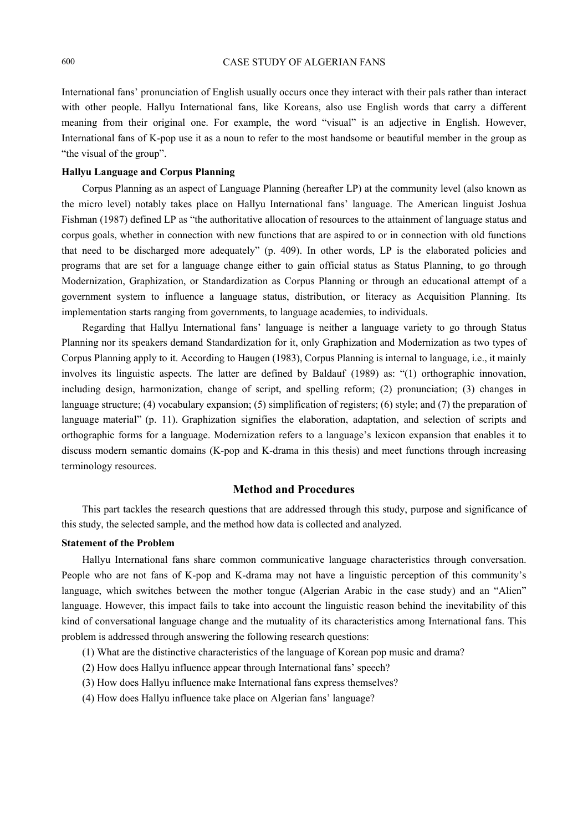International fans' pronunciation of English usually occurs once they interact with their pals rather than interact with other people. Hallyu International fans, like Koreans, also use English words that carry a different meaning from their original one. For example, the word "visual" is an adjective in English. However, International fans of K-pop use it as a noun to refer to the most handsome or beautiful member in the group as "the visual of the group".

#### **Hallyu Language and Corpus Planning**

Corpus Planning as an aspect of Language Planning (hereafter LP) at the community level (also known as the micro level) notably takes place on Hallyu International fans' language. The American linguist Joshua Fishman (1987) defined LP as "the authoritative allocation of resources to the attainment of language status and corpus goals, whether in connection with new functions that are aspired to or in connection with old functions that need to be discharged more adequately" (p. 409). In other words, LP is the elaborated policies and programs that are set for a language change either to gain official status as Status Planning, to go through Modernization, Graphization, or Standardization as Corpus Planning or through an educational attempt of a government system to influence a language status, distribution, or literacy as Acquisition Planning. Its implementation starts ranging from governments, to language academies, to individuals.

Regarding that Hallyu International fans' language is neither a language variety to go through Status Planning nor its speakers demand Standardization for it, only Graphization and Modernization as two types of Corpus Planning apply to it. According to Haugen (1983), Corpus Planning is internal to language, i.e., it mainly involves its linguistic aspects. The latter are defined by Baldauf (1989) as: "(1) orthographic innovation, including design, harmonization, change of script, and spelling reform; (2) pronunciation; (3) changes in language structure; (4) vocabulary expansion; (5) simplification of registers; (6) style; and (7) the preparation of language material" (p. 11). Graphization signifies the elaboration, adaptation, and selection of scripts and orthographic forms for a language. Modernization refers to a language's lexicon expansion that enables it to discuss modern semantic domains (K-pop and K-drama in this thesis) and meet functions through increasing terminology resources.

# **Method and Procedures**

This part tackles the research questions that are addressed through this study, purpose and significance of this study, the selected sample, and the method how data is collected and analyzed.

#### **Statement of the Problem**

Hallyu International fans share common communicative language characteristics through conversation. People who are not fans of K-pop and K-drama may not have a linguistic perception of this community's language, which switches between the mother tongue (Algerian Arabic in the case study) and an "Alien" language. However, this impact fails to take into account the linguistic reason behind the inevitability of this kind of conversational language change and the mutuality of its characteristics among International fans. This problem is addressed through answering the following research questions:

- (1) What are the distinctive characteristics of the language of Korean pop music and drama?
- (2) How does Hallyu influence appear through International fans' speech?
- (3) How does Hallyu influence make International fans express themselves?
- (4) How does Hallyu influence take place on Algerian fans' language?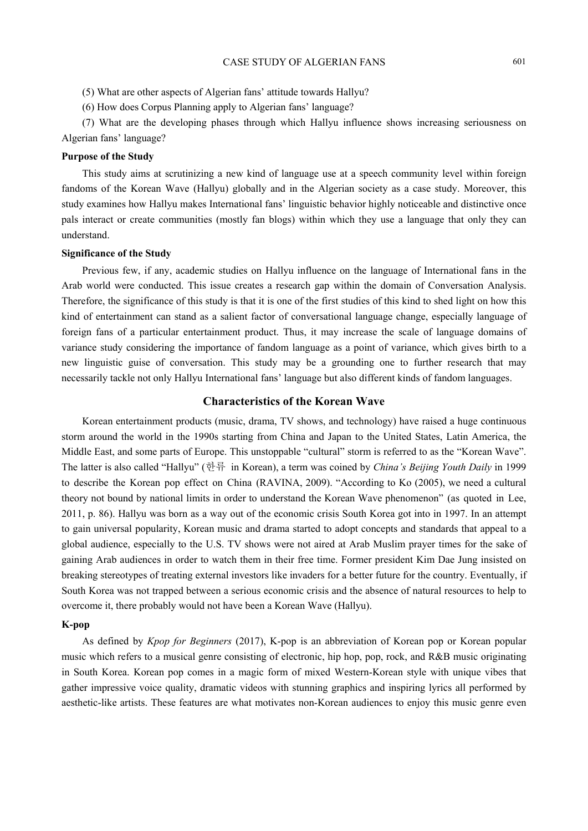- (5) What are other aspects of Algerian fans' attitude towards Hallyu?
- (6) How does Corpus Planning apply to Algerian fans' language?

(7) What are the developing phases through which Hallyu influence shows increasing seriousness on Algerian fans' language?

## **Purpose of the Study**

This study aims at scrutinizing a new kind of language use at a speech community level within foreign fandoms of the Korean Wave (Hallyu) globally and in the Algerian society as a case study. Moreover, this study examines how Hallyu makes International fans' linguistic behavior highly noticeable and distinctive once pals interact or create communities (mostly fan blogs) within which they use a language that only they can understand.

## **Significance of the Study**

Previous few, if any, academic studies on Hallyu influence on the language of International fans in the Arab world were conducted. This issue creates a research gap within the domain of Conversation Analysis. Therefore, the significance of this study is that it is one of the first studies of this kind to shed light on how this kind of entertainment can stand as a salient factor of conversational language change, especially language of foreign fans of a particular entertainment product. Thus, it may increase the scale of language domains of variance study considering the importance of fandom language as a point of variance, which gives birth to a new linguistic guise of conversation. This study may be a grounding one to further research that may necessarily tackle not only Hallyu International fans' language but also different kinds of fandom languages.

## **Characteristics of the Korean Wave**

Korean entertainment products (music, drama, TV shows, and technology) have raised a huge continuous storm around the world in the 1990s starting from China and Japan to the United States, Latin America, the Middle East, and some parts of Europe. This unstoppable "cultural" storm is referred to as the "Korean Wave". The latter is also called "Hallyu" (한류 in Korean), a term was coined by *China's Beijing Youth Daily* in 1999 to describe the Korean pop effect on China (RAVINA, 2009). "According to Ko (2005), we need a cultural theory not bound by national limits in order to understand the Korean Wave phenomenon" (as quoted in Lee, 2011, p. 86). Hallyu was born as a way out of the economic crisis South Korea got into in 1997. In an attempt to gain universal popularity, Korean music and drama started to adopt concepts and standards that appeal to a global audience, especially to the U.S. TV shows were not aired at Arab Muslim prayer times for the sake of gaining Arab audiences in order to watch them in their free time. Former president Kim Dae Jung insisted on breaking stereotypes of treating external investors like invaders for a better future for the country. Eventually, if South Korea was not trapped between a serious economic crisis and the absence of natural resources to help to overcome it, there probably would not have been a Korean Wave (Hallyu).

#### **K-pop**

As defined by *Kpop for Beginners* (2017), K-pop is an abbreviation of Korean pop or Korean popular music which refers to a musical genre consisting of electronic, hip hop, pop, rock, and R&B music originating in South Korea. Korean pop comes in a magic form of mixed Western-Korean style with unique vibes that gather impressive voice quality, dramatic videos with stunning graphics and inspiring lyrics all performed by aesthetic-like artists. These features are what motivates non-Korean audiences to enjoy this music genre even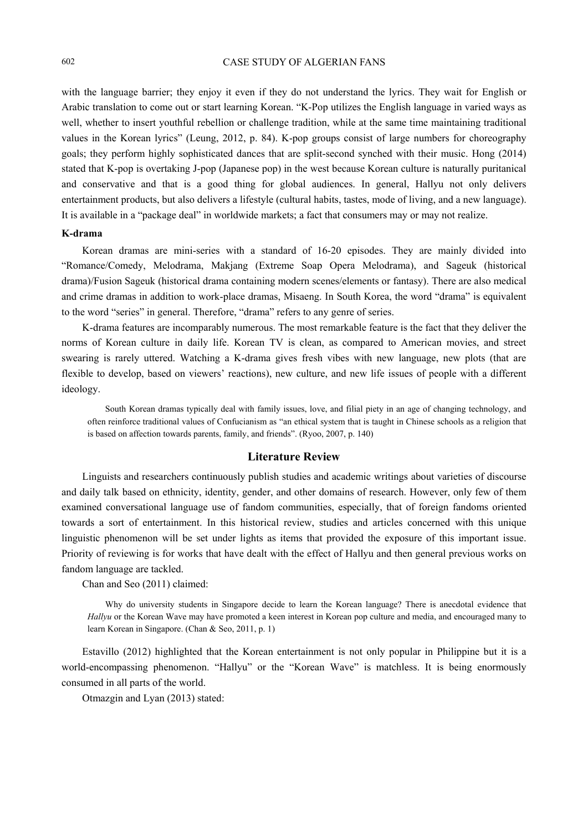with the language barrier; they enjoy it even if they do not understand the lyrics. They wait for English or Arabic translation to come out or start learning Korean. "K-Pop utilizes the English language in varied ways as well, whether to insert youthful rebellion or challenge tradition, while at the same time maintaining traditional values in the Korean lyrics" (Leung, 2012, p. 84). K-pop groups consist of large numbers for choreography goals; they perform highly sophisticated dances that are split-second synched with their music. Hong (2014) stated that K-pop is overtaking J-pop (Japanese pop) in the west because Korean culture is naturally puritanical and conservative and that is a good thing for global audiences. In general, Hallyu not only delivers entertainment products, but also delivers a lifestyle (cultural habits, tastes, mode of living, and a new language). It is available in a "package deal" in worldwide markets; a fact that consumers may or may not realize.

# **K-drama**

Korean dramas are mini-series with a standard of 16-20 episodes. They are mainly divided into "Romance/Comedy, Melodrama, Makjang (Extreme Soap Opera Melodrama), and Sageuk (historical drama)/Fusion Sageuk (historical drama containing modern scenes/elements or fantasy). There are also medical and crime dramas in addition to work-place dramas, Misaeng. In South Korea, the word "drama" is equivalent to the word "series" in general. Therefore, "drama" refers to any genre of series.

K-drama features are incomparably numerous. The most remarkable feature is the fact that they deliver the norms of Korean culture in daily life. Korean TV is clean, as compared to American movies, and street swearing is rarely uttered. Watching a K-drama gives fresh vibes with new language, new plots (that are flexible to develop, based on viewers' reactions), new culture, and new life issues of people with a different ideology.

South Korean dramas typically deal with family issues, love, and filial piety in an age of changing technology, and often reinforce traditional values of Confucianism as "an ethical system that is taught in Chinese schools as a religion that is based on affection towards parents, family, and friends". (Ryoo, 2007, p. 140)

#### **Literature Review**

Linguists and researchers continuously publish studies and academic writings about varieties of discourse and daily talk based on ethnicity, identity, gender, and other domains of research. However, only few of them examined conversational language use of fandom communities, especially, that of foreign fandoms oriented towards a sort of entertainment. In this historical review, studies and articles concerned with this unique linguistic phenomenon will be set under lights as items that provided the exposure of this important issue. Priority of reviewing is for works that have dealt with the effect of Hallyu and then general previous works on fandom language are tackled.

Chan and Seo (2011) claimed:

Why do university students in Singapore decide to learn the Korean language? There is anecdotal evidence that *Hallyu* or the Korean Wave may have promoted a keen interest in Korean pop culture and media, and encouraged many to learn Korean in Singapore. (Chan & Seo, 2011, p. 1)

Estavillo (2012) highlighted that the Korean entertainment is not only popular in Philippine but it is a world-encompassing phenomenon. "Hallyu" or the "Korean Wave" is matchless. It is being enormously consumed in all parts of the world.

Otmazgin and Lyan (2013) stated: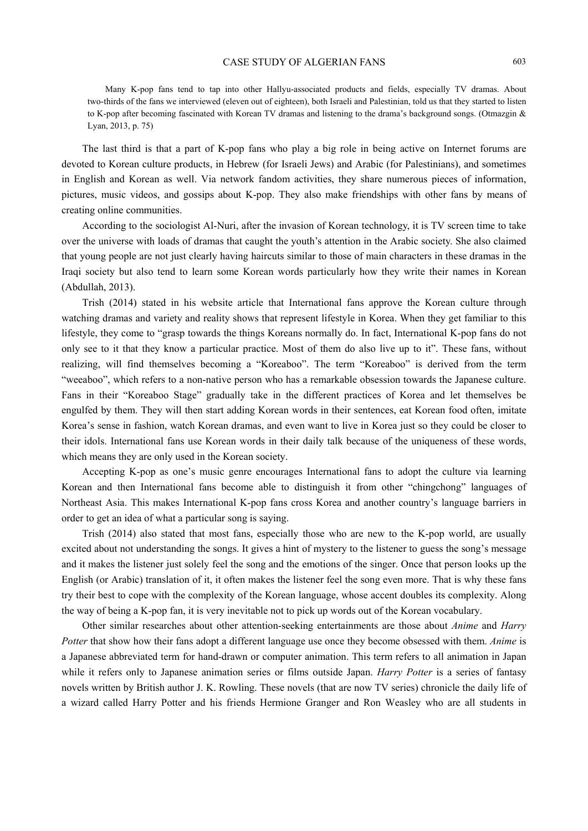Many K-pop fans tend to tap into other Hallyu-associated products and fields, especially TV dramas. About two-thirds of the fans we interviewed (eleven out of eighteen), both Israeli and Palestinian, told us that they started to listen to K-pop after becoming fascinated with Korean TV dramas and listening to the drama's background songs. (Otmazgin & Lyan, 2013, p. 75)

The last third is that a part of K-pop fans who play a big role in being active on Internet forums are devoted to Korean culture products, in Hebrew (for Israeli Jews) and Arabic (for Palestinians), and sometimes in English and Korean as well. Via network fandom activities, they share numerous pieces of information, pictures, music videos, and gossips about K-pop. They also make friendships with other fans by means of creating online communities.

According to the sociologist Al-Nuri, after the invasion of Korean technology, it is TV screen time to take over the universe with loads of dramas that caught the youth's attention in the Arabic society. She also claimed that young people are not just clearly having haircuts similar to those of main characters in these dramas in the Iraqi society but also tend to learn some Korean words particularly how they write their names in Korean (Abdullah, 2013).

Trish (2014) stated in his website article that International fans approve the Korean culture through watching dramas and variety and reality shows that represent lifestyle in Korea. When they get familiar to this lifestyle, they come to "grasp towards the things Koreans normally do. In fact, International K-pop fans do not only see to it that they know a particular practice. Most of them do also live up to it". These fans, without realizing, will find themselves becoming a "Koreaboo". The term "Koreaboo" is derived from the term "weeaboo", which refers to a non-native person who has a remarkable obsession towards the Japanese culture. Fans in their "Koreaboo Stage" gradually take in the different practices of Korea and let themselves be engulfed by them. They will then start adding Korean words in their sentences, eat Korean food often, imitate Korea's sense in fashion, watch Korean dramas, and even want to live in Korea just so they could be closer to their idols. International fans use Korean words in their daily talk because of the uniqueness of these words, which means they are only used in the Korean society.

Accepting K-pop as one's music genre encourages International fans to adopt the culture via learning Korean and then International fans become able to distinguish it from other "chingchong" languages of Northeast Asia. This makes International K-pop fans cross Korea and another country's language barriers in order to get an idea of what a particular song is saying.

Trish (2014) also stated that most fans, especially those who are new to the K-pop world, are usually excited about not understanding the songs. It gives a hint of mystery to the listener to guess the song's message and it makes the listener just solely feel the song and the emotions of the singer. Once that person looks up the English (or Arabic) translation of it, it often makes the listener feel the song even more. That is why these fans try their best to cope with the complexity of the Korean language, whose accent doubles its complexity. Along the way of being a K-pop fan, it is very inevitable not to pick up words out of the Korean vocabulary.

Other similar researches about other attention-seeking entertainments are those about *Anime* and *Harry Potter* that show how their fans adopt a different language use once they become obsessed with them. *Anime* is a Japanese abbreviated term for hand-drawn or computer animation. This term refers to all animation in Japan while it refers only to Japanese animation series or films outside Japan. *Harry Potter* is a series of fantasy novels written by British author J. K. Rowling. These novels (that are now TV series) chronicle the daily life of a wizard called Harry Potter and his friends Hermione Granger and Ron Weasley who are all students in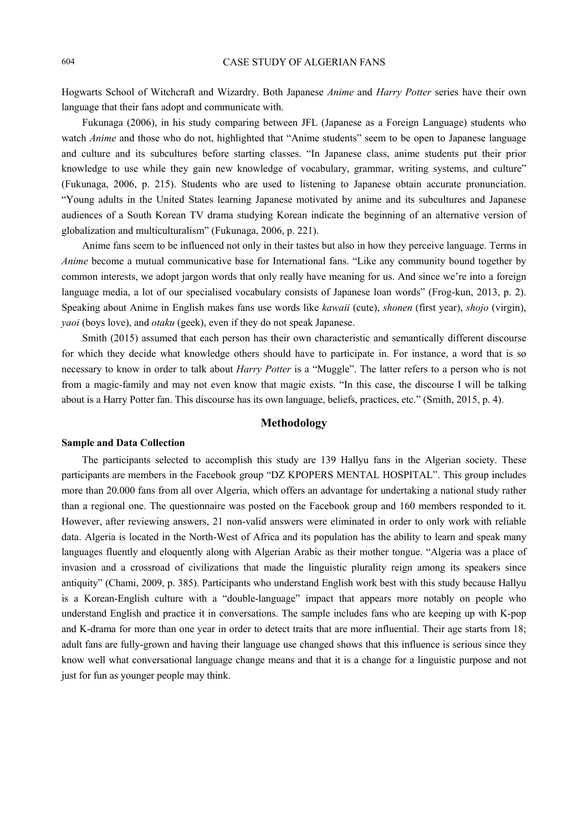Hogwarts School of Witchcraft and Wizardry. Both Japanese *Anime* and *Harry Potter* series have their own language that their fans adopt and communicate with.

Fukunaga (2006), in his study comparing between JFL (Japanese as a Foreign Language) students who watch *Anime* and those who do not, highlighted that "Anime students" seem to be open to Japanese language and culture and its subcultures before starting classes. "In Japanese class, anime students put their prior knowledge to use while they gain new knowledge of vocabulary, grammar, writing systems, and culture" (Fukunaga, 2006, p. 215). Students who are used to listening to Japanese obtain accurate pronunciation. "Young adults in the United States learning Japanese motivated by anime and its subcultures and Japanese audiences of a South Korean TV drama studying Korean indicate the beginning of an alternative version of globalization and multiculturalism" (Fukunaga, 2006, p. 221).

Anime fans seem to be influenced not only in their tastes but also in how they perceive language. Terms in *Anime* become a mutual communicative base for International fans. "Like any community bound together by common interests, we adopt jargon words that only really have meaning for us. And since we're into a foreign language media, a lot of our specialised vocabulary consists of Japanese loan words" (Frog-kun, 2013, p. 2). Speaking about Anime in English makes fans use words like *kawaii* (cute), *shonen* (first year), *shojo* (virgin), *yaoi* (boys love), and *otaku* (geek), even if they do not speak Japanese.

Smith (2015) assumed that each person has their own characteristic and semantically different discourse for which they decide what knowledge others should have to participate in. For instance, a word that is so necessary to know in order to talk about *Harry Potter* is a "Muggle". The latter refers to a person who is not from a magic-family and may not even know that magic exists. "In this case, the discourse I will be talking about is a Harry Potter fan. This discourse has its own language, beliefs, practices, etc." (Smith, 2015, p. 4).

## **Methodology**

#### **Sample and Data Collection**

The participants selected to accomplish this study are 139 Hallyu fans in the Algerian society. These participants are members in the Facebook group "DZ KPOPERS MENTAL HOSPITAL". This group includes more than 20.000 fans from all over Algeria, which offers an advantage for undertaking a national study rather than a regional one. The questionnaire was posted on the Facebook group and 160 members responded to it. However, after reviewing answers, 21 non-valid answers were eliminated in order to only work with reliable data. Algeria is located in the North-West of Africa and its population has the ability to learn and speak many languages fluently and eloquently along with Algerian Arabic as their mother tongue. "Algeria was a place of invasion and a crossroad of civilizations that made the linguistic plurality reign among its speakers since antiquity" (Chami, 2009, p. 385). Participants who understand English work best with this study because Hallyu is a Korean-English culture with a "double-language" impact that appears more notably on people who understand English and practice it in conversations. The sample includes fans who are keeping up with K-pop and K-drama for more than one year in order to detect traits that are more influential. Their age starts from 18; adult fans are fully-grown and having their language use changed shows that this influence is serious since they know well what conversational language change means and that it is a change for a linguistic purpose and not just for fun as younger people may think.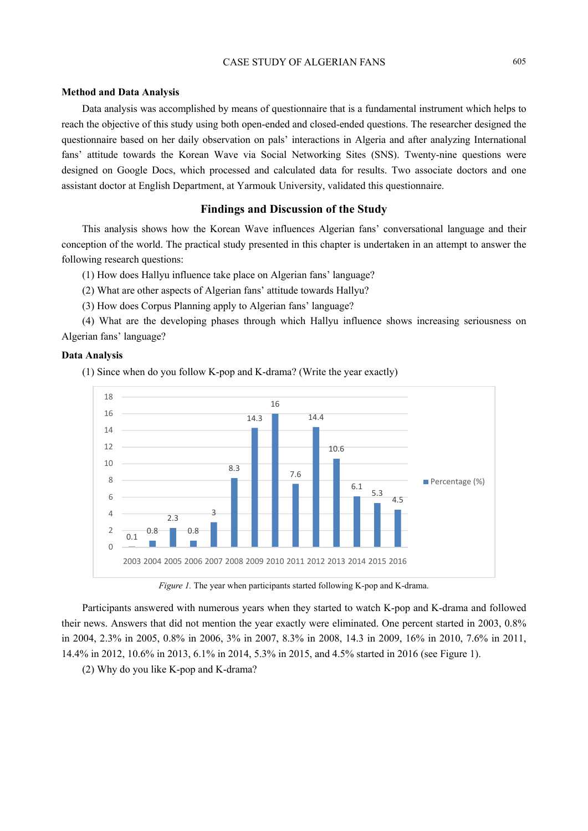## **Method and Data Analysis**

Data analysis was accomplished by means of questionnaire that is a fundamental instrument which helps to reach the objective of this study using both open-ended and closed-ended questions. The researcher designed the questionnaire based on her daily observation on pals' interactions in Algeria and after analyzing International fans' attitude towards the Korean Wave via Social Networking Sites (SNS). Twenty-nine questions were designed on Google Docs, which processed and calculated data for results. Two associate doctors and one assistant doctor at English Department, at Yarmouk University, validated this questionnaire.

# **Findings and Discussion of the Study**

This analysis shows how the Korean Wave influences Algerian fans' conversational language and their conception of the world. The practical study presented in this chapter is undertaken in an attempt to answer the following research questions:

(1) How does Hallyu influence take place on Algerian fans' language?

(2) What are other aspects of Algerian fans' attitude towards Hallyu?

(3) How does Corpus Planning apply to Algerian fans' language?

(4) What are the developing phases through which Hallyu influence shows increasing seriousness on Algerian fans' language?

### **Data Analysis**

(1) Since when do you follow K-pop and K-drama? (Write the year exactly)



*Figure 1.* The year when participants started following K-pop and K-drama.

Participants answered with numerous years when they started to watch K-pop and K-drama and followed their news. Answers that did not mention the year exactly were eliminated. One percent started in 2003, 0.8% in 2004, 2.3% in 2005, 0.8% in 2006, 3% in 2007, 8.3% in 2008, 14.3 in 2009, 16% in 2010, 7.6% in 2011, 14.4% in 2012, 10.6% in 2013, 6.1% in 2014, 5.3% in 2015, and 4.5% started in 2016 (see Figure 1).

(2) Why do you like K-pop and K-drama?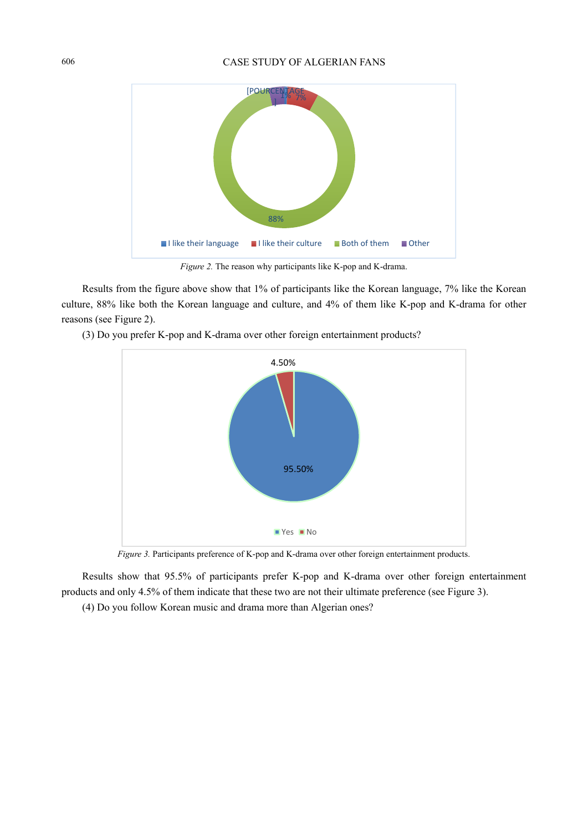

*Figure 2.* The reason why participants like K-pop and K-drama.

Results from the figure above show that 1% of participants like the Korean language, 7% like the Korean culture, 88% like both the Korean language and culture, and 4% of them like K-pop and K-drama for other reasons (see Figure 2).



(3) Do you prefer K-pop and K-drama over other foreign entertainment products?

*Figure 3.* Participants preference of K-pop and K-drama over other foreign entertainment products.

Results show that 95.5% of participants prefer K-pop and K-drama over other foreign entertainment products and only 4.5% of them indicate that these two are not their ultimate preference (see Figure 3).

(4) Do you follow Korean music and drama more than Algerian ones?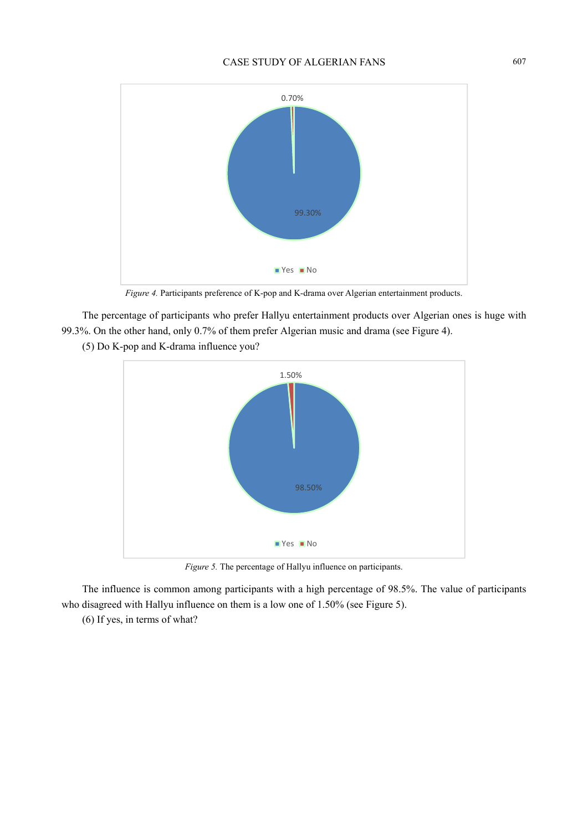

*Figure 4.* Participants preference of K-pop and K-drama over Algerian entertainment products.

The percentage of participants who prefer Hallyu entertainment products over Algerian ones is huge with 99.3%. On the other hand, only 0.7% of them prefer Algerian music and drama (see Figure 4).

(5) Do K-pop and K-drama influence you?



*Figure 5.* The percentage of Hallyu influence on participants.

The influence is common among participants with a high percentage of 98.5%. The value of participants who disagreed with Hallyu influence on them is a low one of 1.50% (see Figure 5).

(6) If yes, in terms of what?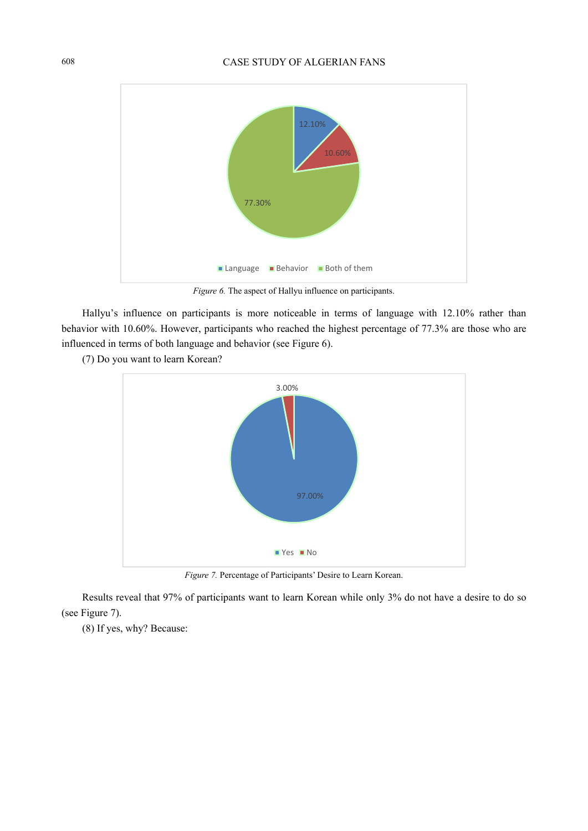

*Figure 6.* The aspect of Hallyu influence on participants.

Hallyu's influence on participants is more noticeable in terms of language with 12.10% rather than behavior with 10.60%. However, participants who reached the highest percentage of 77.3% are those who are influenced in terms of both language and behavior (see Figure 6).





*Figure 7.* Percentage of Participants' Desire to Learn Korean.

Results reveal that 97% of participants want to learn Korean while only 3% do not have a desire to do so (see Figure 7).

(8) If yes, why? Because: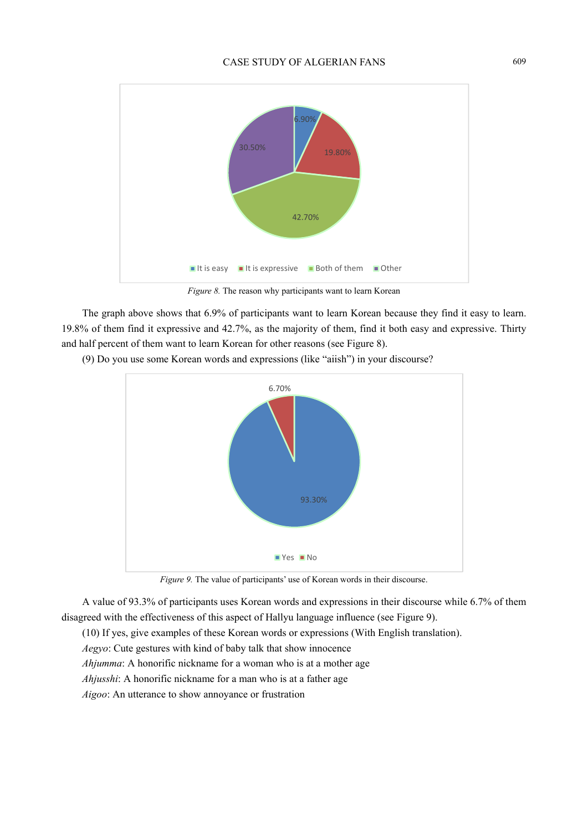

*Figure 8.* The reason why participants want to learn Korean

The graph above shows that 6.9% of participants want to learn Korean because they find it easy to learn. 19.8% of them find it expressive and 42.7%, as the majority of them, find it both easy and expressive. Thirty and half percent of them want to learn Korean for other reasons (see Figure 8).

(9) Do you use some Korean words and expressions (like "aiish") in your discourse?



*Figure 9.* The value of participants' use of Korean words in their discourse.

A value of 93.3% of participants uses Korean words and expressions in their discourse while 6.7% of them disagreed with the effectiveness of this aspect of Hallyu language influence (see Figure 9).

(10) If yes, give examples of these Korean words or expressions (With English translation).

*Aegyo*: Cute gestures with kind of baby talk that show innocence

*Ahjumma*: A honorific nickname for a woman who is at a mother age

*Ahjusshi*: A honorific nickname for a man who is at a father age

*Aigoo*: An utterance to show annoyance or frustration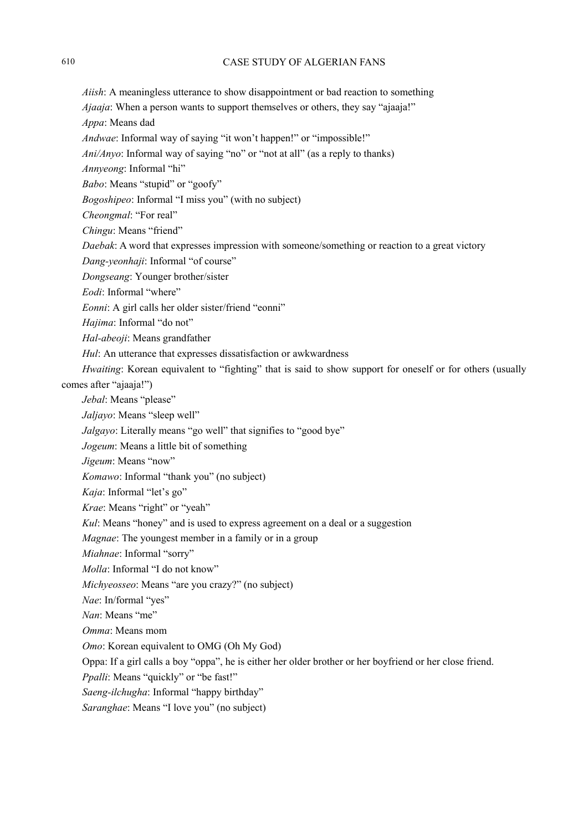*Aiish*: A meaningless utterance to show disappointment or bad reaction to something

*Ajaaja*: When a person wants to support themselves or others, they say "ajaaja!"

*Appa*: Means dad

*Andwae*: Informal way of saying "it won't happen!" or "impossible!"

*Ani/Anyo*: Informal way of saying "no" or "not at all" (as a reply to thanks)

*Annyeong*: Informal "hi"

*Babo*: Means "stupid" or "goofy"

*Bogoshipeo*: Informal "I miss you" (with no subject)

*Cheongmal*: "For real"

*Chingu*: Means "friend"

*Daebak*: A word that expresses impression with someone/something or reaction to a great victory

*Dang-yeonhaji*: Informal "of course"

*Dongseang*: Younger brother/sister

*Eodi*: Informal "where"

*Eonni*: A girl calls her older sister/friend "eonni"

*Hajima*: Informal "do not"

*Hal-abeoji*: Means grandfather

*Hul*: An utterance that expresses dissatisfaction or awkwardness

*Hwaiting*: Korean equivalent to "fighting" that is said to show support for oneself or for others (usually comes after "ajaaja!")

*Jebal*: Means "please"

*Jaljayo*: Means "sleep well"

*Jalgayo*: Literally means "go well" that signifies to "good bye"

*Jogeum*: Means a little bit of something

*Jigeum*: Means "now"

*Komawo*: Informal "thank you" (no subject)

*Kaja*: Informal "let's go"

*Krae*: Means "right" or "yeah"

*Kul*: Means "honey" and is used to express agreement on a deal or a suggestion

*Magnae*: The youngest member in a family or in a group

*Miahnae*: Informal "sorry"

*Molla*: Informal "I do not know"

*Michyeosseo*: Means "are you crazy?" (no subject)

*Nae*: In/formal "yes"

*Nan*: Means "me"

*Omma*: Means mom

*Omo*: Korean equivalent to OMG (Oh My God)

Oppa: If a girl calls a boy "oppa", he is either her older brother or her boyfriend or her close friend.

*Ppalli*: Means "quickly" or "be fast!"

*Saeng-ilchugha*: Informal "happy birthday"

*Saranghae*: Means "I love you" (no subject)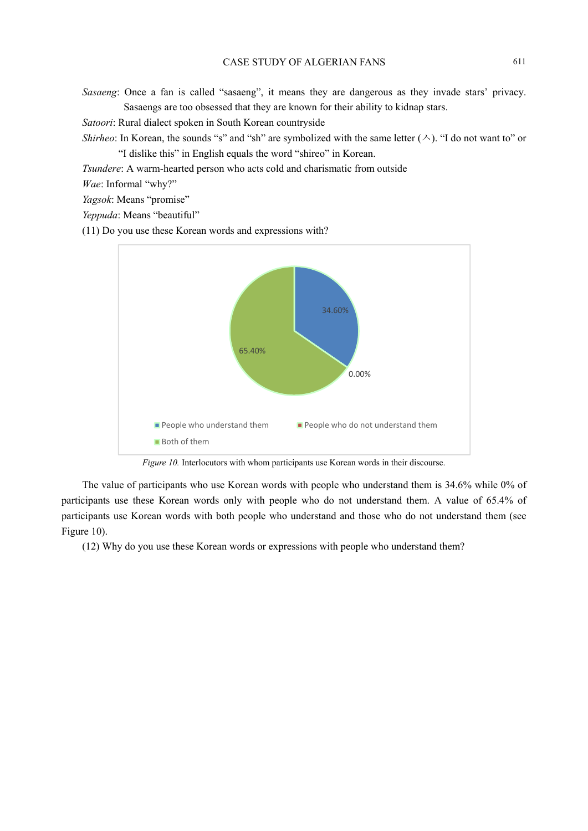*Sasaeng*: Once a fan is called "sasaeng", it means they are dangerous as they invade stars' privacy. Sasaengs are too obsessed that they are known for their ability to kidnap stars.

*Satoori*: Rural dialect spoken in South Korean countryside

*Shirheo*: In Korean, the sounds "s" and "sh" are symbolized with the same letter  $(\wedge)$ . "I do not want to" or "I dislike this" in English equals the word "shireo" in Korean.

*Tsundere*: A warm-hearted person who acts cold and charismatic from outside

*Wae*: Informal "why?"

*Yagsok*: Means "promise"

*Yeppuda*: Means "beautiful"

(11) Do you use these Korean words and expressions with?



*Figure 10.* Interlocutors with whom participants use Korean words in their discourse.

The value of participants who use Korean words with people who understand them is 34.6% while 0% of participants use these Korean words only with people who do not understand them. A value of 65.4% of participants use Korean words with both people who understand and those who do not understand them (see Figure 10).

(12) Why do you use these Korean words or expressions with people who understand them?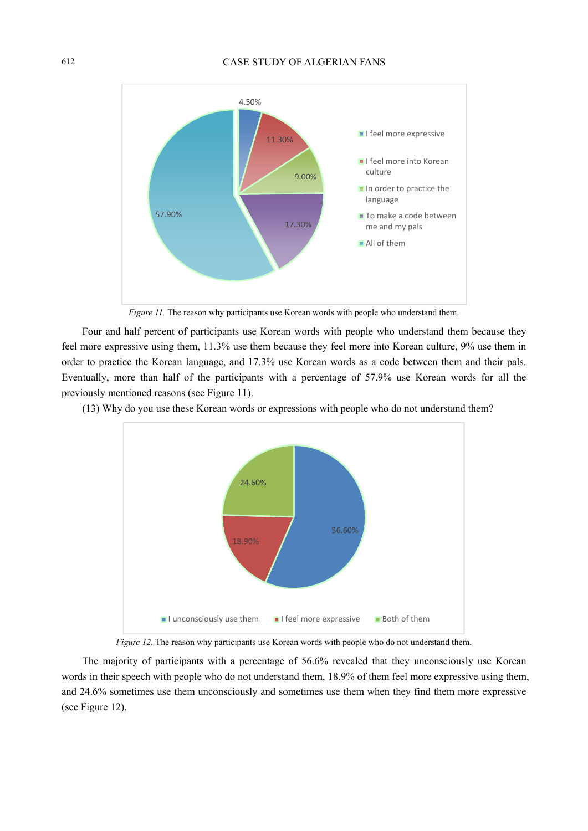

*Figure 11*. The reason why participants use Korean words with people who understand them.

Four and half percent of participants use Korean words with people who understand them because they feel more expressive using them, 11.3% use them because they feel more into Korean culture, 9% use them in order to practice the Korean language, and 17.3% use Korean words as a code between them and their pals. Eventually, more than half of the participants with a percentage of 57.9% use Korean words for all the previously mentioned reasons (see Figure 11).

(13) Why do you use these Korean words or expressions with people who do not understand them?



*Figure 12.* The reason why participants use Korean words with people who do not understand them.

The majority of participants with a percentage of 56.6% revealed that they unconsciously use Korean words in their speech with people who do not understand them, 18.9% of them feel more expressive using them, and 24.6% sometimes use them unconsciously and sometimes use them when they find them more expressive (see Figure 12).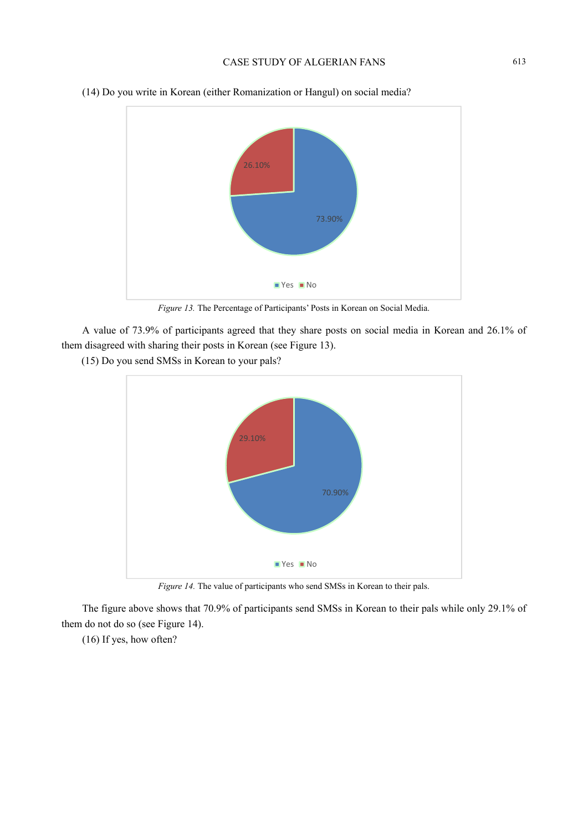

(14) Do you write in Korean (either Romanization or Hangul) on social media?

*Figure 13.* The Percentage of Participants' Posts in Korean on Social Media.

A value of 73.9% of participants agreed that they share posts on social media in Korean and 26.1% of them disagreed with sharing their posts in Korean (see Figure 13).

(15) Do you send SMSs in Korean to your pals?



*Figure 14.* The value of participants who send SMSs in Korean to their pals.

The figure above shows that 70.9% of participants send SMSs in Korean to their pals while only 29.1% of them do not do so (see Figure 14).

(16) If yes, how often?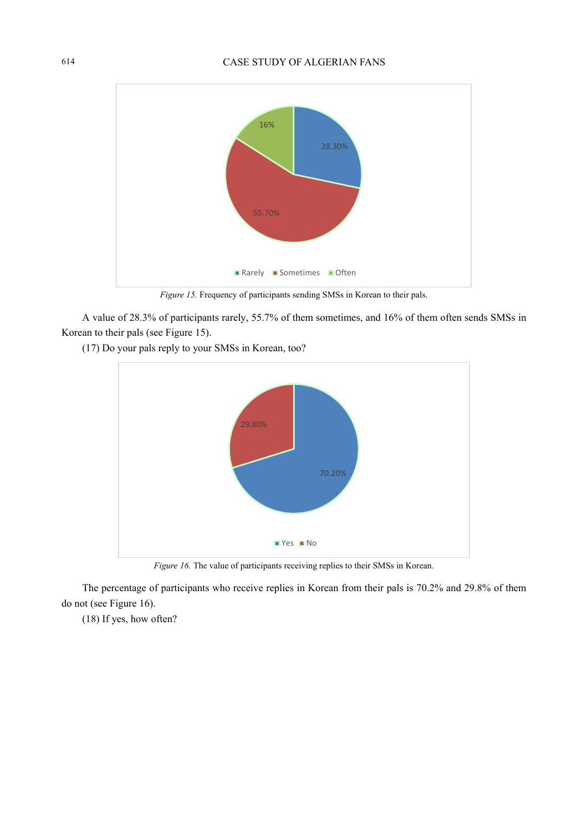

*Figure 15.* Frequency of participants sending SMSs in Korean to their pals.

A value of 28.3% of participants rarely, 55.7% of them sometimes, and 16% of them often sends SMSs in Korean to their pals (see Figure 15).

(17) Do your pals reply to your SMSs in Korean, too?



*Figure 16.* The value of participants receiving replies to their SMSs in Korean.

The percentage of participants who receive replies in Korean from their pals is 70.2% and 29.8% of them do not (see Figure 16).

(18) If yes, how often?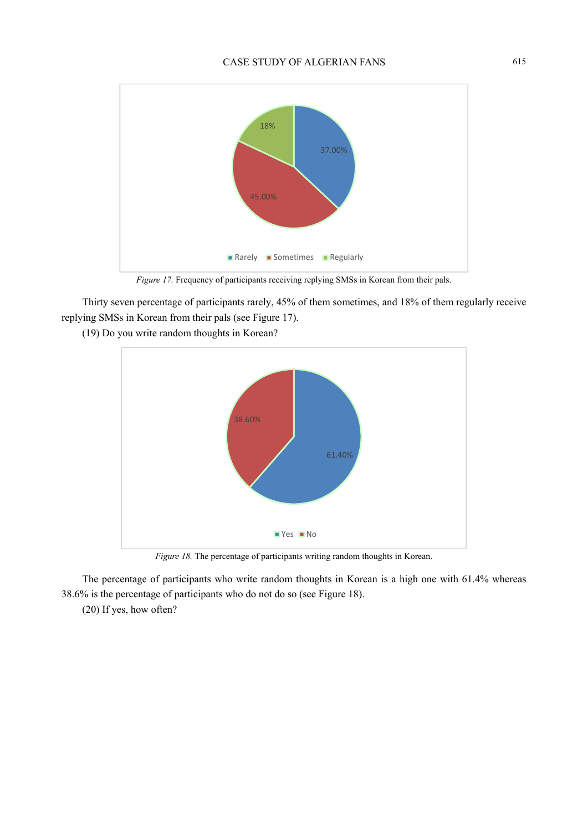

*Figure 17.* Frequency of participants receiving replying SMSs in Korean from their pals.

Thirty seven percentage of participants rarely, 45% of them sometimes, and 18% of them regularly receive replying SMSs in Korean from their pals (see Figure 17).

(19) Do you write random thoughts in Korean?



*Figure 18.* The percentage of participants writing random thoughts in Korean.

The percentage of participants who write random thoughts in Korean is a high one with 61.4% whereas 38.6% is the percentage of participants who do not do so (see Figure 18).

(20) If yes, how often?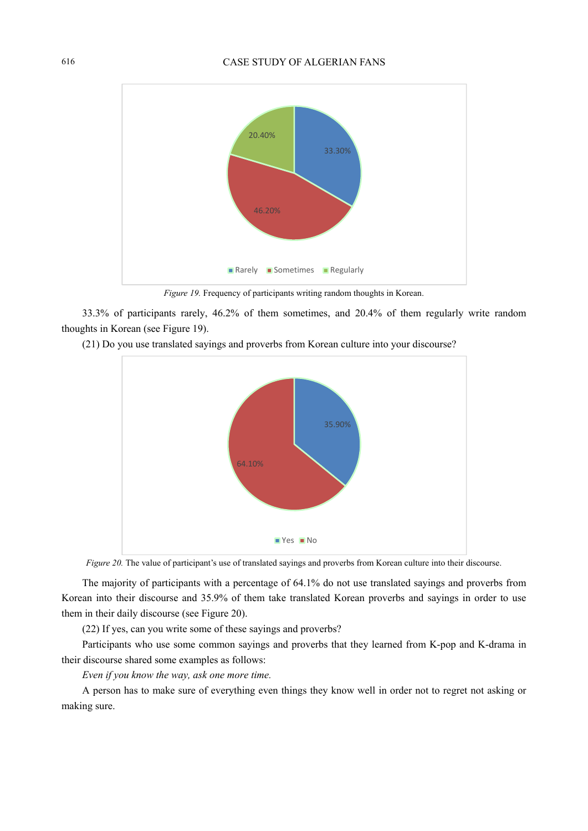

*Figure 19.* Frequency of participants writing random thoughts in Korean.

33.3% of participants rarely, 46.2% of them sometimes, and 20.4% of them regularly write random thoughts in Korean (see Figure 19).

(21) Do you use translated sayings and proverbs from Korean culture into your discourse?



*Figure 20.* The value of participant's use of translated sayings and proverbs from Korean culture into their discourse.

The majority of participants with a percentage of 64.1% do not use translated sayings and proverbs from Korean into their discourse and 35.9% of them take translated Korean proverbs and sayings in order to use them in their daily discourse (see Figure 20).

(22) If yes, can you write some of these sayings and proverbs?

Participants who use some common sayings and proverbs that they learned from K-pop and K-drama in their discourse shared some examples as follows:

*Even if you know the way, ask one more time.* 

A person has to make sure of everything even things they know well in order not to regret not asking or making sure.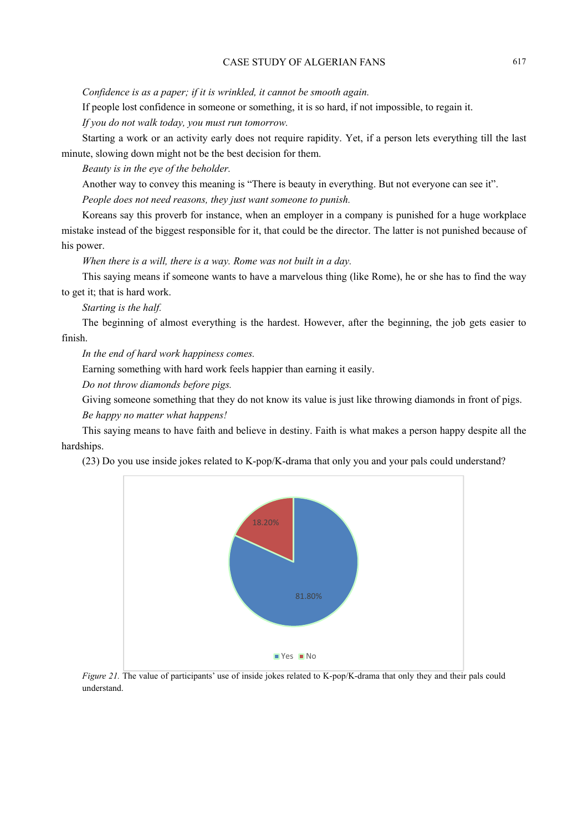*Confidence is as a paper; if it is wrinkled, it cannot be smooth again.* 

If people lost confidence in someone or something, it is so hard, if not impossible, to regain it.

*If you do not walk today, you must run tomorrow.* 

Starting a work or an activity early does not require rapidity. Yet, if a person lets everything till the last minute, slowing down might not be the best decision for them.

*Beauty is in the eye of the beholder.* 

Another way to convey this meaning is "There is beauty in everything. But not everyone can see it". *People does not need reasons, they just want someone to punish.* 

Koreans say this proverb for instance, when an employer in a company is punished for a huge workplace mistake instead of the biggest responsible for it, that could be the director. The latter is not punished because of his power.

*When there is a will, there is a way. Rome was not built in a day.* 

This saying means if someone wants to have a marvelous thing (like Rome), he or she has to find the way to get it; that is hard work.

*Starting is the half.* 

The beginning of almost everything is the hardest. However, after the beginning, the job gets easier to finish.

*In the end of hard work happiness comes.* 

Earning something with hard work feels happier than earning it easily.

*Do not throw diamonds before pigs.* 

Giving someone something that they do not know its value is just like throwing diamonds in front of pigs.

*Be happy no matter what happens!* 

This saying means to have faith and believe in destiny. Faith is what makes a person happy despite all the hardships.

(23) Do you use inside jokes related to K-pop/K-drama that only you and your pals could understand?



*Figure 21.* The value of participants' use of inside jokes related to K-pop/K-drama that only they and their pals could understand.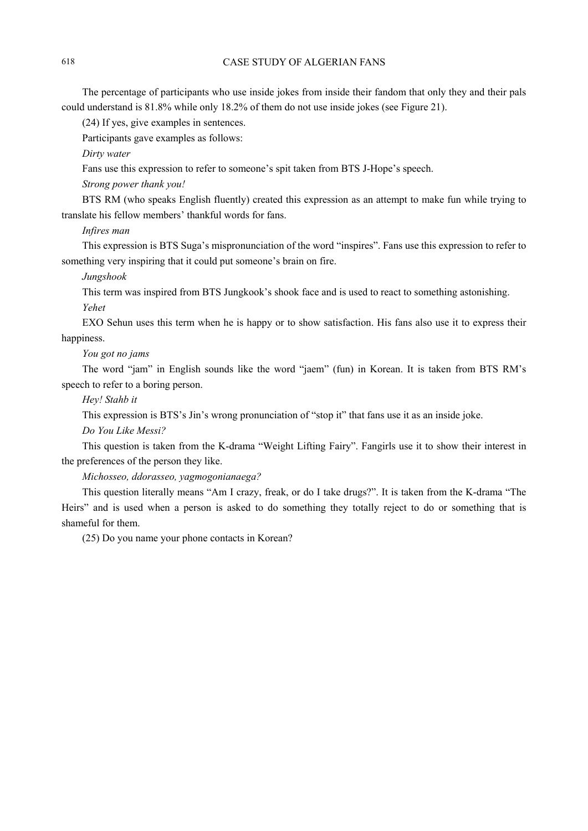The percentage of participants who use inside jokes from inside their fandom that only they and their pals could understand is 81.8% while only 18.2% of them do not use inside jokes (see Figure 21).

(24) If yes, give examples in sentences.

Participants gave examples as follows:

*Dirty water* 

Fans use this expression to refer to someone's spit taken from BTS J-Hope's speech.

*Strong power thank you!* 

BTS RM (who speaks English fluently) created this expression as an attempt to make fun while trying to translate his fellow members' thankful words for fans.

*Infires man* 

This expression is BTS Suga's mispronunciation of the word "inspires". Fans use this expression to refer to something very inspiring that it could put someone's brain on fire.

*Jungshook* 

This term was inspired from BTS Jungkook's shook face and is used to react to something astonishing. *Yehet* 

EXO Sehun uses this term when he is happy or to show satisfaction. His fans also use it to express their happiness.

*You got no jams* 

The word "jam" in English sounds like the word "jaem" (fun) in Korean. It is taken from BTS RM's speech to refer to a boring person.

*Hey! Stahb it* 

This expression is BTS's Jin's wrong pronunciation of "stop it" that fans use it as an inside joke.

*Do You Like Messi?* 

This question is taken from the K-drama "Weight Lifting Fairy". Fangirls use it to show their interest in the preferences of the person they like.

*Michosseo, ddorasseo, yagmogonianaega?* 

This question literally means "Am I crazy, freak, or do I take drugs?". It is taken from the K-drama "The Heirs" and is used when a person is asked to do something they totally reject to do or something that is shameful for them.

(25) Do you name your phone contacts in Korean?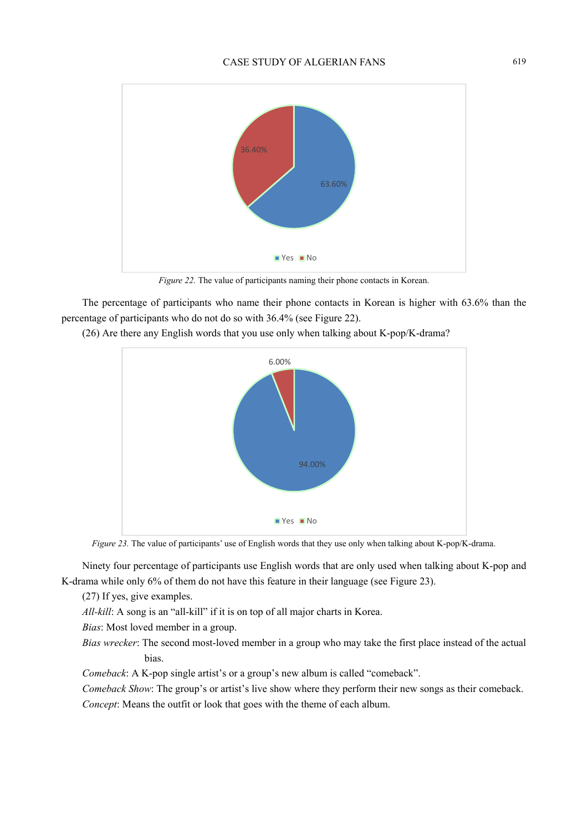

*Figure 22.* The value of participants naming their phone contacts in Korean.

The percentage of participants who name their phone contacts in Korean is higher with 63.6% than the percentage of participants who do not do so with 36.4% (see Figure 22).

(26) Are there any English words that you use only when talking about K-pop/K-drama?



*Figure 23.* The value of participants' use of English words that they use only when talking about K-pop/K-drama.

Ninety four percentage of participants use English words that are only used when talking about K-pop and K-drama while only 6% of them do not have this feature in their language (see Figure 23).

(27) If yes, give examples.

*All-kill*: A song is an "all-kill" if it is on top of all major charts in Korea.

*Bias*: Most loved member in a group.

*Bias wrecker*: The second most-loved member in a group who may take the first place instead of the actual bias.

*Comeback*: A K-pop single artist's or a group's new album is called "comeback".

*Comeback Show*: The group's or artist's live show where they perform their new songs as their comeback. *Concept*: Means the outfit or look that goes with the theme of each album.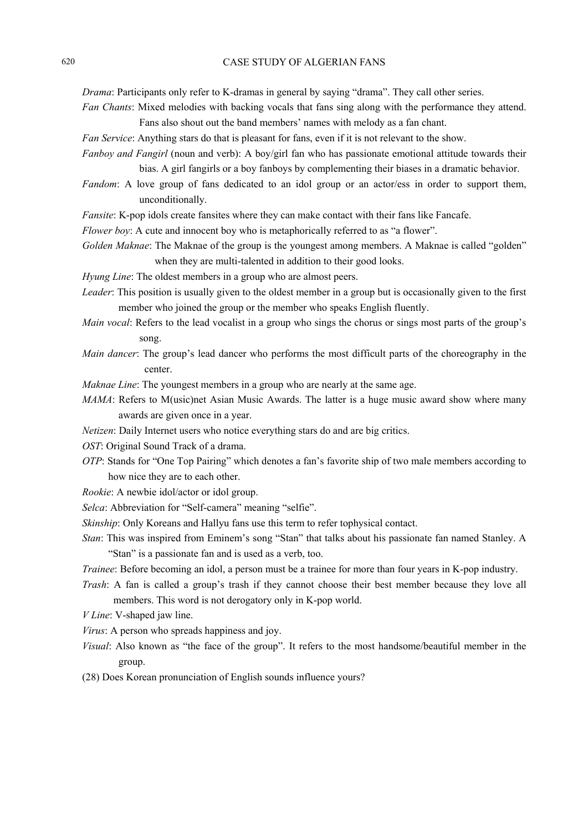*Drama*: Participants only refer to K-dramas in general by saying "drama". They call other series.

- *Fan Chants*: Mixed melodies with backing vocals that fans sing along with the performance they attend. Fans also shout out the band members' names with melody as a fan chant.
- *Fan Service*: Anything stars do that is pleasant for fans, even if it is not relevant to the show.
- *Fanboy and Fangirl* (noun and verb): A boy/girl fan who has passionate emotional attitude towards their bias. A girl fangirls or a boy fanboys by complementing their biases in a dramatic behavior.
- *Fandom*: A love group of fans dedicated to an idol group or an actor/ess in order to support them, unconditionally.
- *Fansite*: K-pop idols create fansites where they can make contact with their fans like Fancafe.
- *Flower boy:* A cute and innocent boy who is metaphorically referred to as "a flower".
- *Golden Maknae*: The Maknae of the group is the youngest among members. A Maknae is called "golden" when they are multi-talented in addition to their good looks.
- *Hyung Line*: The oldest members in a group who are almost peers.
- *Leader*: This position is usually given to the oldest member in a group but is occasionally given to the first member who joined the group or the member who speaks English fluently.
- *Main vocal*: Refers to the lead vocalist in a group who sings the chorus or sings most parts of the group's song.
- *Main dancer*: The group's lead dancer who performs the most difficult parts of the choreography in the center.
- *Maknae Line*: The youngest members in a group who are nearly at the same age.
- *MAMA*: Refers to M(usic)net Asian Music Awards. The latter is a huge music award show where many awards are given once in a year.
- *Netizen*: Daily Internet users who notice everything stars do and are big critics.
- *OST*: Original Sound Track of a drama.
- *OTP*: Stands for "One Top Pairing" which denotes a fan's favorite ship of two male members according to how nice they are to each other.
- *Rookie*: A newbie idol/actor or idol group.
- *Selca*: Abbreviation for "Self-camera" meaning "selfie".
- *Skinship*: Only Koreans and Hallyu fans use this term to refer tophysical contact.
- *Stan*: This was inspired from Eminem's song "Stan" that talks about his passionate fan named Stanley. A "Stan" is a passionate fan and is used as a verb, too.
- *Trainee*: Before becoming an idol, a person must be a trainee for more than four years in K-pop industry.
- *Trash*: A fan is called a group's trash if they cannot choose their best member because they love all members. This word is not derogatory only in K-pop world.
- *V Line*: V-shaped jaw line.
- *Virus*: A person who spreads happiness and joy.
- *Visual*: Also known as "the face of the group". It refers to the most handsome/beautiful member in the group.
- (28) Does Korean pronunciation of English sounds influence yours?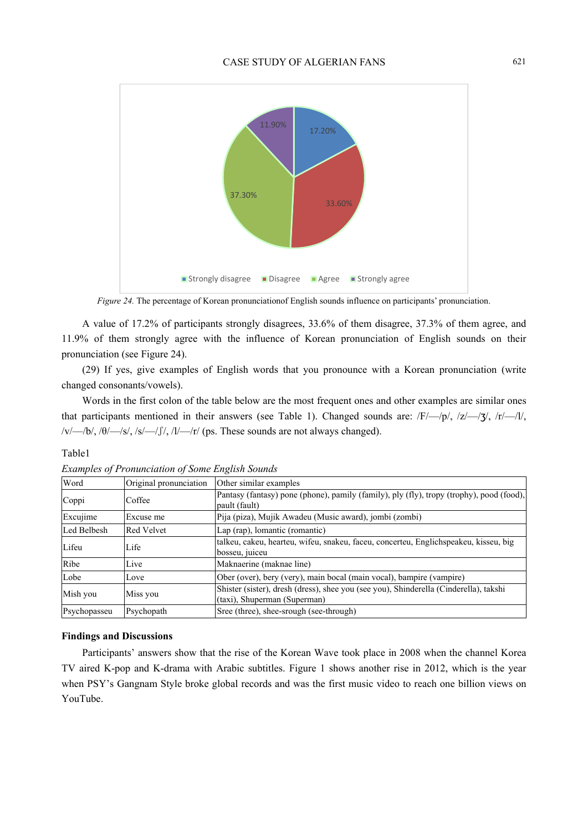

*Figure 24.* The percentage of Korean pronunciationof English sounds influence on participants' pronunciation.

A value of 17.2% of participants strongly disagrees, 33.6% of them disagree, 37.3% of them agree, and 11.9% of them strongly agree with the influence of Korean pronunciation of English sounds on their pronunciation (see Figure 24).

(29) If yes, give examples of English words that you pronounce with a Korean pronunciation (write changed consonants/vowels).

Words in the first colon of the table below are the most frequent ones and other examples are similar ones that participants mentioned in their answers (see Table 1). Changed sounds are:  $\frac{F}{-\frac{p}{\lambda}}$ ,  $\frac{z}{-\frac{3}{\lambda}}$ ,  $\frac{r}{-\lambda}$ ,  $\frac{r}{-\lambda}$ ,  $/\nu$ / $\rightarrow$ /b/, /θ/ $\rightarrow$ /s/, /s/ $\rightarrow$ / $\int$ /, /l/ $\rightarrow$ /r/ (ps. These sounds are not always changed).

## Table1

| Word         | Original pronunciation | Other similar examples                                                                                                |
|--------------|------------------------|-----------------------------------------------------------------------------------------------------------------------|
| Coppi        | Coffee                 | Pantasy (fantasy) pone (phone), pamily (family), ply (fly), tropy (trophy), pood (food),<br>pault (fault)             |
| Excujime     | Excuse me              | Pija (piza), Mujik Awadeu (Music award), jombi (zombi)                                                                |
| Led Belbesh  | Red Velvet             | Lap (rap), lomantic (romantic)                                                                                        |
| Lifeu        | Life                   | talkeu, cakeu, hearteu, wifeu, snakeu, faceu, concerteu, Englichspeakeu, kisseu, big<br>bosseu, juiceu                |
| Ribe         | Live                   | Maknaerine (maknae line)                                                                                              |
| Lobe         | Love                   | Ober (over), bery (very), main bocal (main vocal), bampire (vampire)                                                  |
| Mish you     | Miss you               | Shister (sister), dresh (dress), shee you (see you), Shinderella (Cinderella), takshi<br>(taxi), Shuperman (Superman) |
| Psychopasseu | Psychopath             | Sree (three), shee-srough (see-through)                                                                               |

*Examples of Pronunciation of Some English Sounds* 

#### **Findings and Discussions**

Participants' answers show that the rise of the Korean Wave took place in 2008 when the channel Korea TV aired K-pop and K-drama with Arabic subtitles. Figure 1 shows another rise in 2012, which is the year when PSY's Gangnam Style broke global records and was the first music video to reach one billion views on YouTube.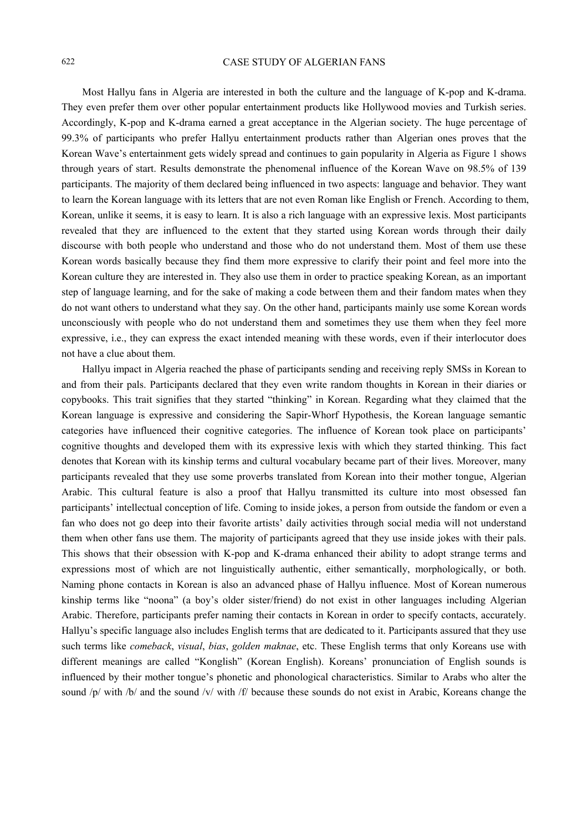Most Hallyu fans in Algeria are interested in both the culture and the language of K-pop and K-drama. They even prefer them over other popular entertainment products like Hollywood movies and Turkish series. Accordingly, K-pop and K-drama earned a great acceptance in the Algerian society. The huge percentage of 99.3% of participants who prefer Hallyu entertainment products rather than Algerian ones proves that the Korean Wave's entertainment gets widely spread and continues to gain popularity in Algeria as Figure 1 shows through years of start. Results demonstrate the phenomenal influence of the Korean Wave on 98.5% of 139 participants. The majority of them declared being influenced in two aspects: language and behavior. They want to learn the Korean language with its letters that are not even Roman like English or French. According to them, Korean, unlike it seems, it is easy to learn. It is also a rich language with an expressive lexis. Most participants revealed that they are influenced to the extent that they started using Korean words through their daily discourse with both people who understand and those who do not understand them. Most of them use these Korean words basically because they find them more expressive to clarify their point and feel more into the Korean culture they are interested in. They also use them in order to practice speaking Korean, as an important step of language learning, and for the sake of making a code between them and their fandom mates when they do not want others to understand what they say. On the other hand, participants mainly use some Korean words unconsciously with people who do not understand them and sometimes they use them when they feel more expressive, i.e., they can express the exact intended meaning with these words, even if their interlocutor does not have a clue about them.

Hallyu impact in Algeria reached the phase of participants sending and receiving reply SMSs in Korean to and from their pals. Participants declared that they even write random thoughts in Korean in their diaries or copybooks. This trait signifies that they started "thinking" in Korean. Regarding what they claimed that the Korean language is expressive and considering the Sapir-Whorf Hypothesis, the Korean language semantic categories have influenced their cognitive categories. The influence of Korean took place on participants' cognitive thoughts and developed them with its expressive lexis with which they started thinking. This fact denotes that Korean with its kinship terms and cultural vocabulary became part of their lives. Moreover, many participants revealed that they use some proverbs translated from Korean into their mother tongue, Algerian Arabic. This cultural feature is also a proof that Hallyu transmitted its culture into most obsessed fan participants' intellectual conception of life. Coming to inside jokes, a person from outside the fandom or even a fan who does not go deep into their favorite artists' daily activities through social media will not understand them when other fans use them. The majority of participants agreed that they use inside jokes with their pals. This shows that their obsession with K-pop and K-drama enhanced their ability to adopt strange terms and expressions most of which are not linguistically authentic, either semantically, morphologically, or both. Naming phone contacts in Korean is also an advanced phase of Hallyu influence. Most of Korean numerous kinship terms like "noona" (a boy's older sister/friend) do not exist in other languages including Algerian Arabic. Therefore, participants prefer naming their contacts in Korean in order to specify contacts, accurately. Hallyu's specific language also includes English terms that are dedicated to it. Participants assured that they use such terms like *comeback*, *visual*, *bias*, *golden maknae*, etc. These English terms that only Koreans use with different meanings are called "Konglish" (Korean English). Koreans' pronunciation of English sounds is influenced by their mother tongue's phonetic and phonological characteristics. Similar to Arabs who alter the sound /p/ with /b/ and the sound /v/ with /f/ because these sounds do not exist in Arabic, Koreans change the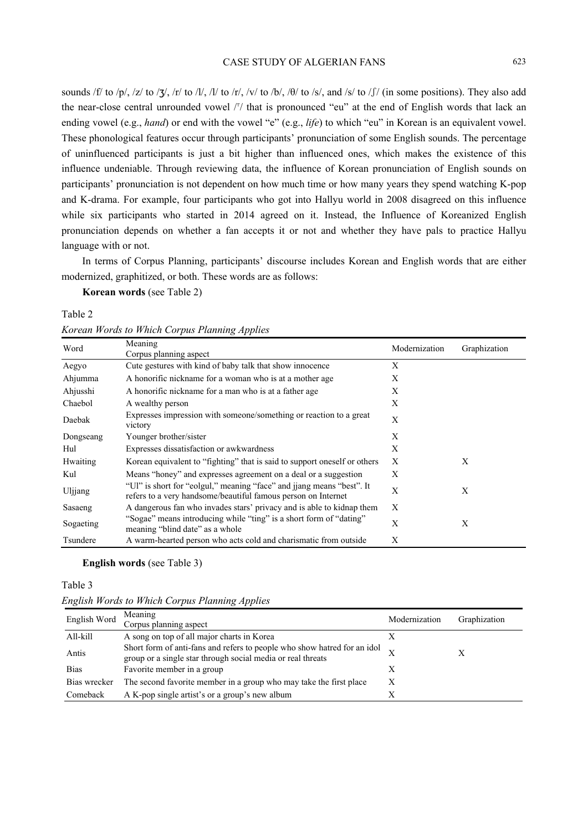sounds /f/ to /p/, /z/ to /ʒ/, /r/ to /l/, /l/ to /r/, /v/ to /b/, /θ/ to /s/, and /s/ to /ʃ/ (in some positions). They also add the near-close central unrounded vowel /<sup>r</sup>/ that is pronounced "eu" at the end of English words that lack an ending vowel (e.g., *hand*) or end with the vowel "e" (e.g., *life*) to which "eu" in Korean is an equivalent vowel. These phonological features occur through participants' pronunciation of some English sounds. The percentage of uninfluenced participants is just a bit higher than influenced ones, which makes the existence of this influence undeniable. Through reviewing data, the influence of Korean pronunciation of English sounds on participants' pronunciation is not dependent on how much time or how many years they spend watching K-pop and K-drama. For example, four participants who got into Hallyu world in 2008 disagreed on this influence while six participants who started in 2014 agreed on it. Instead, the Influence of Koreanized English pronunciation depends on whether a fan accepts it or not and whether they have pals to practice Hallyu language with or not.

In terms of Corpus Planning, participants' discourse includes Korean and English words that are either modernized, graphitized, or both. These words are as follows:

**Korean words** (see Table 2)

Table 2

*Korean Words to Which Corpus Planning Applies* 

| Word             | Meaning<br>Corpus planning aspect                                                                                                      | Modernization | Graphization |
|------------------|----------------------------------------------------------------------------------------------------------------------------------------|---------------|--------------|
| Aegyo            | Cute gestures with kind of baby talk that show innocence                                                                               | X             |              |
| Ahjumma          | A honorific nickname for a woman who is at a mother age.                                                                               | X             |              |
| Ahjusshi         | A honorific nickname for a man who is at a father age.                                                                                 | X             |              |
| Chaebol          | A wealthy person                                                                                                                       | X             |              |
| Daebak           | Expresses impression with someone/something or reaction to a great<br>victory                                                          | X             |              |
| Dongseang        | Younger brother/sister                                                                                                                 | X             |              |
| Hul              | Expresses dissatisfaction or awkwardness                                                                                               | X             |              |
| <b>H</b> waiting | Korean equivalent to "fighting" that is said to support oneself or others                                                              | X             | X            |
| Kul              | Means "honey" and expresses agreement on a deal or a suggestion                                                                        | X             |              |
| Uljjang          | "Ul" is short for "eolgul," meaning "face" and jiang means "best". It<br>refers to a very handsome/beautiful famous person on Internet | X             | X            |
| Sasaeng          | A dangerous fan who invades stars' privacy and is able to kidnap them                                                                  | X             |              |
| Sogaeting        | "Sogae" means introducing while "ting" is a short form of "dating"<br>meaning "blind date" as a whole                                  | X             | X            |
| Tsundere         | A warm-hearted person who acts cold and charismatic from outside                                                                       | X             |              |

**English words** (see Table 3)

Table 3

| English Words to Which Corpus Planning Applies |  |  |  |  |  |  |
|------------------------------------------------|--|--|--|--|--|--|
|------------------------------------------------|--|--|--|--|--|--|

| English Word | Meaning<br>Corpus planning aspect                                                                                                       | Modernization | Graphization |
|--------------|-----------------------------------------------------------------------------------------------------------------------------------------|---------------|--------------|
| All-kill     | A song on top of all major charts in Korea                                                                                              |               |              |
| Antis        | Short form of anti-fans and refers to people who show hatred for an idol<br>group or a single star through social media or real threats |               |              |
| <b>Bias</b>  | Favorite member in a group                                                                                                              |               |              |
| Bias wrecker | The second favorite member in a group who may take the first place                                                                      | X             |              |
| Comeback     | A K-pop single artist's or a group's new album                                                                                          |               |              |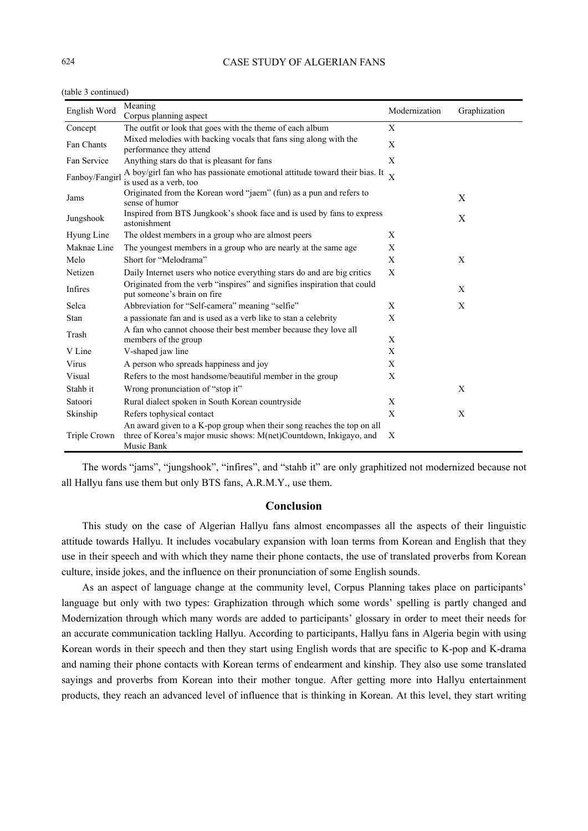| English Word   | Meaning                                                                                                                                                    | Modernization | Graphization |
|----------------|------------------------------------------------------------------------------------------------------------------------------------------------------------|---------------|--------------|
|                | Corpus planning aspect                                                                                                                                     |               |              |
| Concept        | The outfit or look that goes with the theme of each album                                                                                                  | X             |              |
| Fan Chants     | Mixed melodies with backing vocals that fans sing along with the<br>performance they attend                                                                | X             |              |
| Fan Service    | Anything stars do that is pleasant for fans                                                                                                                | X             |              |
| Fanboy/Fangirl | A boy/girl fan who has passionate emotional attitude toward their bias. It<br>is used as a verb, too                                                       | $\bar{X}$     |              |
| Jams           | Originated from the Korean word "jaem" (fun) as a pun and refers to<br>sense of humor                                                                      |               | X            |
| Jungshook      | Inspired from BTS Jungkook's shook face and is used by fans to express<br>astonishment                                                                     |               | X            |
| Hyung Line     | The oldest members in a group who are almost peers                                                                                                         | Χ             |              |
| Maknae Line    | The youngest members in a group who are nearly at the same age                                                                                             | X             |              |
| Melo           | Short for "Melodrama"                                                                                                                                      | X             | X            |
| Netizen        | Daily Internet users who notice everything stars do and are big critics                                                                                    | X             |              |
| Infires        | Originated from the verb "inspires" and signifies inspiration that could<br>put someone's brain on fire                                                    |               | X            |
| Selca          | Abbreviation for "Self-camera" meaning "selfie"                                                                                                            | X             | X            |
| Stan           | a passionate fan and is used as a verb like to stan a celebrity                                                                                            | X             |              |
| Trash          | A fan who cannot choose their best member because they love all<br>members of the group                                                                    | X             |              |
| V Line         | V-shaped jaw line                                                                                                                                          | X             |              |
| Virus          | A person who spreads happiness and joy                                                                                                                     | X             |              |
| Visual         | Refers to the most handsome/beautiful member in the group                                                                                                  | X             |              |
| Stahb it       | Wrong pronunciation of "stop it"                                                                                                                           |               | X            |
| Satoori        | Rural dialect spoken in South Korean countryside                                                                                                           | X             |              |
| Skinship       | Refers tophysical contact                                                                                                                                  | X             | X            |
| Triple Crown   | An award given to a K-pop group when their song reaches the top on all<br>three of Korea's major music shows: M(net)Countdown, Inkigayo, and<br>Music Bank | X             |              |

(table 3 continued)

The words "jams", "jungshook", "infires", and "stahb it" are only graphitized not modernized because not all Hallyu fans use them but only BTS fans, A.R.M.Y., use them.

## **Conclusion**

This study on the case of Algerian Hallyu fans almost encompasses all the aspects of their linguistic attitude towards Hallyu. It includes vocabulary expansion with loan terms from Korean and English that they use in their speech and with which they name their phone contacts, the use of translated proverbs from Korean culture, inside jokes, and the influence on their pronunciation of some English sounds.

As an aspect of language change at the community level, Corpus Planning takes place on participants' language but only with two types: Graphization through which some words' spelling is partly changed and Modernization through which many words are added to participants' glossary in order to meet their needs for an accurate communication tackling Hallyu. According to participants, Hallyu fans in Algeria begin with using Korean words in their speech and then they start using English words that are specific to K-pop and K-drama and naming their phone contacts with Korean terms of endearment and kinship. They also use some translated sayings and proverbs from Korean into their mother tongue. After getting more into Hallyu entertainment products, they reach an advanced level of influence that is thinking in Korean. At this level, they start writing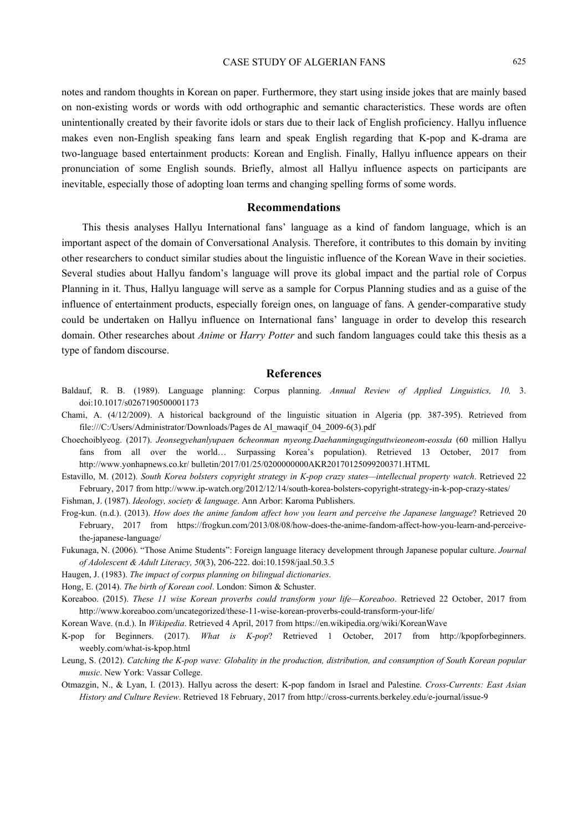notes and random thoughts in Korean on paper. Furthermore, they start using inside jokes that are mainly based on non-existing words or words with odd orthographic and semantic characteristics. These words are often unintentionally created by their favorite idols or stars due to their lack of English proficiency. Hallyu influence makes even non-English speaking fans learn and speak English regarding that K-pop and K-drama are two-language based entertainment products: Korean and English. Finally, Hallyu influence appears on their pronunciation of some English sounds. Briefly, almost all Hallyu influence aspects on participants are inevitable, especially those of adopting loan terms and changing spelling forms of some words.

#### **Recommendations**

This thesis analyses Hallyu International fans' language as a kind of fandom language, which is an important aspect of the domain of Conversational Analysis. Therefore, it contributes to this domain by inviting other researchers to conduct similar studies about the linguistic influence of the Korean Wave in their societies. Several studies about Hallyu fandom's language will prove its global impact and the partial role of Corpus Planning in it. Thus, Hallyu language will serve as a sample for Corpus Planning studies and as a guise of the influence of entertainment products, especially foreign ones, on language of fans. A gender-comparative study could be undertaken on Hallyu influence on International fans' language in order to develop this research domain. Other researches about *Anime* or *Harry Potter* and such fandom languages could take this thesis as a type of fandom discourse.

## **References**

- Baldauf, R. B. (1989). Language planning: Corpus planning. *Annual Review of Applied Linguistics, 10,* 3. doi:10.1017/s0267190500001173
- Chami, A. (4/12/2009). A historical background of the linguistic situation in Algeria (pp. 387-395). Retrieved from file:///C:/Users/Administrator/Downloads/Pages de Al\_mawaqif\_04\_2009-6(3).pdf
- Choechoiblyeog. (2017). *Jeonsegyehanlyupaen 6cheonman myeong.Daehanminguginguttwieoneom-eossda* (60 million Hallyu fans from all over the world… Surpassing Korea's population). Retrieved 13 October, 2017 from http://www.yonhapnews.co.kr/ bulletin/2017/01/25/0200000000AKR20170125099200371.HTML

Estavillo, M. (2012). *South Korea bolsters copyright strategy in K-pop crazy states—intellectual property watch*. Retrieved 22 February, 2017 from http://www.ip-watch.org/2012/12/14/south-korea-bolsters-copyright-strategy-in-k-pop-crazy-states/

Fishman, J. (1987). *Ideology, society & language*. Ann Arbor: Karoma Publishers.

- Frog-kun. (n.d.). (2013). *How does the anime fandom affect how you learn and perceive the Japanese language*? Retrieved 20 February, 2017 from https://frogkun.com/2013/08/08/how-does-the-anime-fandom-affect-how-you-learn-and-perceivethe-japanese-language/
- Fukunaga, N. (2006). "Those Anime Students": Foreign language literacy development through Japanese popular culture. *Journal of Adolescent & Adult Literacy, 50*(3), 206-222. doi:10.1598/jaal.50.3.5
- Haugen, J. (1983). *The impact of corpus planning on bilingual dictionaries*.
- Hong, E. (2014). *The birth of Korean cool*. London: Simon & Schuster.

Koreaboo. (2015). *These 11 wise Korean proverbs could transform your life—Koreaboo*. Retrieved 22 October, 2017 from http://www.koreaboo.com/uncategorized/these-11-wise-korean-proverbs-could-transform-your-life/

Korean Wave. (n.d.). In *Wikipedia*. Retrieved 4 April, 2017 from https://en.wikipedia.org/wiki/KoreanWave

K-pop for Beginners. (2017). *What is K-pop*? Retrieved 1 October, 2017 from http://kpopforbeginners. weebly.com/what-is-kpop.html

Leung, S. (2012). *Catching the K-pop wave: Globality in the production, distribution, and consumption of South Korean popular music*. New York: Vassar College.

Otmazgin, N., & Lyan, I. (2013). Hallyu across the desert: K-pop fandom in Israel and Palestine. *Cross-Currents: East Asian History and Culture Review*. Retrieved 18 February, 2017 from http://cross-currents.berkeley.edu/e-journal/issue-9